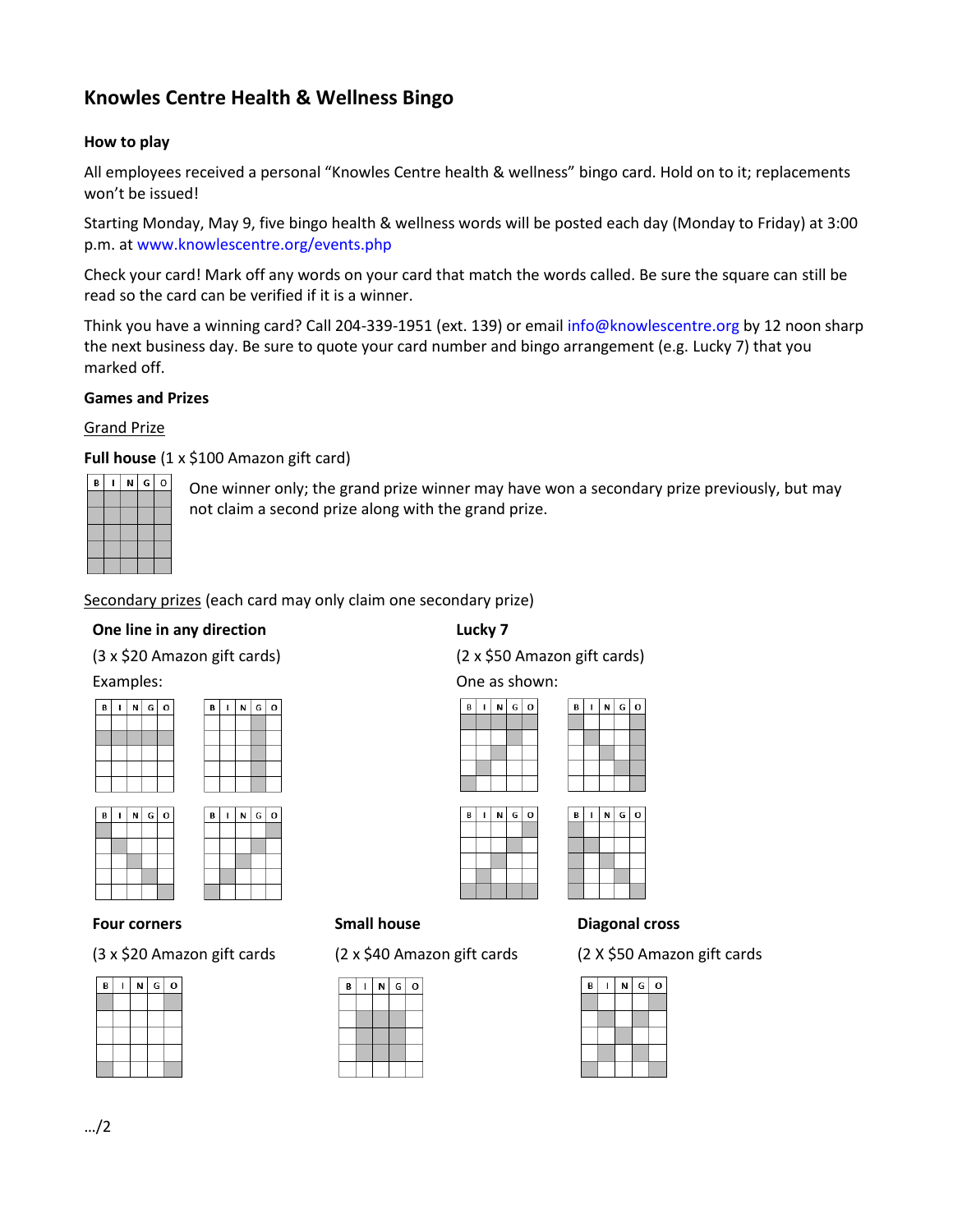# **Knowles Centre Health & Wellness Bingo**

## **How to play**

All employees received a personal "Knowles Centre health & wellness" bingo card. Hold on to it; replacements won't be issued!

Starting Monday, May 9, five bingo health & wellness words will be posted each day (Monday to Friday) at 3:00 p.m. at www.knowlescentre.org/events.php

Check your card! Mark off any words on your card that match the words called. Be sure the square can still be read so the card can be verified if it is a winner.

Think you have a winning card? Call 204-339-1951 (ext. 139) or email info@knowlescentre.org by 12 noon sharp the next business day. Be sure to quote your card number and bingo arrangement (e.g. Lucky 7) that you marked off.

## **Games and Prizes**

#### Grand Prize

**Full house** (1 x \$100 Amazon gift card)

| B | N | G | o |
|---|---|---|---|
|   |   |   |   |
|   |   |   |   |
|   |   |   |   |
|   |   |   |   |
|   |   |   |   |

One winner only; the grand prize winner may have won a secondary prize previously, but may not claim a second prize along with the grand prize.

Secondary prizes (each card may only claim one secondary prize)

 $6<sup>1</sup>$ 

## **One line in any direction** (3 x \$20 Amazon gift cards)

## **Lucky 7**

(2 x \$50 Amazon gift cards)

#### Examples:

 $B$   $I$   $N$ 

| B | N | $G$ O | B | ľ |
|---|---|-------|---|---|
|   |   |       |   |   |
|   |   |       |   |   |
|   |   |       |   |   |
|   |   |       |   |   |
|   |   |       |   |   |
|   |   |       |   |   |

| N |
|---|
|   |
|   |
|   |
|   |
|   |
|   |

#### **Four corners**

(3 x \$20 Amazon gift cards

| B | N | G | O |
|---|---|---|---|
|   |   |   |   |
|   |   |   |   |
|   |   |   |   |
|   |   |   |   |
|   |   |   |   |



## **Small house**

(2 x \$40 Amazon gift cards



## **Diagonal cross**

(2 X \$50 Amazon gift cards

| B | N | G | O |
|---|---|---|---|
|   |   |   |   |
|   |   |   |   |
|   |   |   |   |
|   |   |   |   |
|   |   |   |   |

# One as shown:



| В | Νİ | $G$ 0 |  | в | N | $ G $ O |  |
|---|----|-------|--|---|---|---------|--|
|   |    |       |  |   |   |         |  |
|   |    |       |  |   |   |         |  |
|   |    |       |  |   |   |         |  |
|   |    |       |  |   |   |         |  |
|   |    |       |  |   |   |         |  |